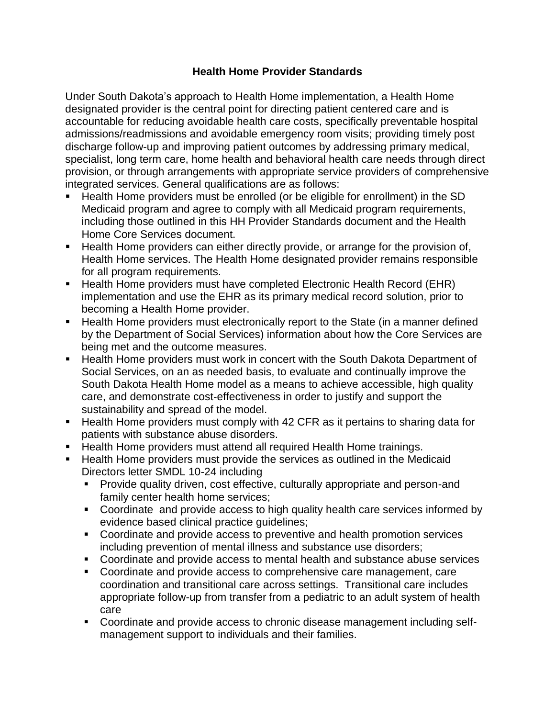## **Health Home Provider Standards**

Under South Dakota's approach to Health Home implementation, a Health Home designated provider is the central point for directing patient centered care and is accountable for reducing avoidable health care costs, specifically preventable hospital admissions/readmissions and avoidable emergency room visits; providing timely post discharge follow-up and improving patient outcomes by addressing primary medical, specialist, long term care, home health and behavioral health care needs through direct provision, or through arrangements with appropriate service providers of comprehensive integrated services. General qualifications are as follows:

- Health Home providers must be enrolled (or be eligible for enrollment) in the SD Medicaid program and agree to comply with all Medicaid program requirements, including those outlined in this HH Provider Standards document and the Health Home Core Services document.
- **Health Home providers can either directly provide, or arrange for the provision of,** Health Home services. The Health Home designated provider remains responsible for all program requirements.
- Health Home providers must have completed Electronic Health Record (EHR) implementation and use the EHR as its primary medical record solution, prior to becoming a Health Home provider.
- **Health Home providers must electronically report to the State (in a manner defined** by the Department of Social Services) information about how the Core Services are being met and the outcome measures.
- **Health Home providers must work in concert with the South Dakota Department of** Social Services, on an as needed basis, to evaluate and continually improve the South Dakota Health Home model as a means to achieve accessible, high quality care, and demonstrate cost-effectiveness in order to justify and support the sustainability and spread of the model.
- Health Home providers must comply with 42 CFR as it pertains to sharing data for patients with substance abuse disorders.
- **Health Home providers must attend all required Health Home trainings.**
- **Health Home providers must provide the services as outlined in the Medicaid** Directors letter SMDL 10-24 including
	- **Provide quality driven, cost effective, culturally appropriate and person-and** family center health home services;
	- Coordinate and provide access to high quality health care services informed by evidence based clinical practice guidelines;
	- Coordinate and provide access to preventive and health promotion services including prevention of mental illness and substance use disorders;
	- Coordinate and provide access to mental health and substance abuse services
	- Coordinate and provide access to comprehensive care management, care coordination and transitional care across settings. Transitional care includes appropriate follow-up from transfer from a pediatric to an adult system of health care
	- Coordinate and provide access to chronic disease management including selfmanagement support to individuals and their families.